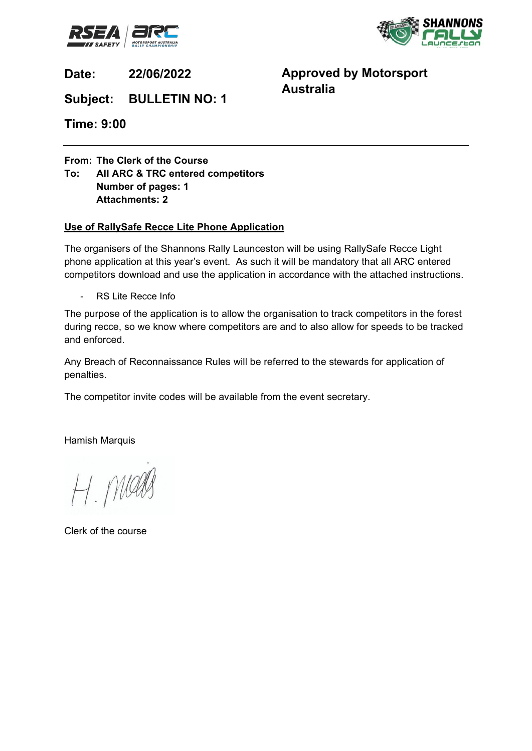



**Date: 22/06/2022**

**Approved by Motorsport Australia**

**Subject: BULLETIN NO: 1**

**Time: 9:00**

**From: The Clerk of the Course**

**To: All ARC & TRC entered competitors Number of pages: 1 Attachments: 2** 

## **Use of RallySafe Recce Lite Phone Application**

The organisers of the Shannons Rally Launceston will be using RallySafe Recce Light phone application at this year's event. As such it will be mandatory that all ARC entered competitors download and use the application in accordance with the attached instructions.

- RS Lite Recce Info

The purpose of the application is to allow the organisation to track competitors in the forest during recce, so we know where competitors are and to also allow for speeds to be tracked and enforced.

Any Breach of Reconnaissance Rules will be referred to the stewards for application of penalties.

The competitor invite codes will be available from the event secretary.

Hamish Marquis

H. Maals

Clerk of the course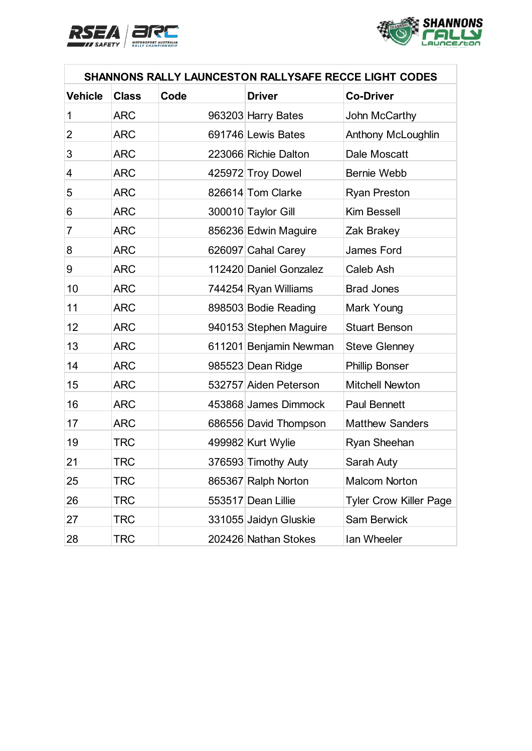



| SHANNONS RALLY LAUNCESTON RALLYSAFE RECCE LIGHT CODES |              |      |                        |                               |
|-------------------------------------------------------|--------------|------|------------------------|-------------------------------|
| <b>Vehicle</b>                                        | <b>Class</b> | Code | <b>Driver</b>          | <b>Co-Driver</b>              |
| 1                                                     | <b>ARC</b>   |      | 963203 Harry Bates     | John McCarthy                 |
| $\overline{2}$                                        | <b>ARC</b>   |      | 691746 Lewis Bates     | Anthony McLoughlin            |
| 3                                                     | <b>ARC</b>   |      | 223066 Richie Dalton   | Dale Moscatt                  |
| 4                                                     | <b>ARC</b>   |      | 425972 Troy Dowel      | <b>Bernie Webb</b>            |
| 5                                                     | <b>ARC</b>   |      | 826614 Tom Clarke      | <b>Ryan Preston</b>           |
| 6                                                     | <b>ARC</b>   |      | 300010 Taylor Gill     | <b>Kim Bessell</b>            |
| $\overline{7}$                                        | <b>ARC</b>   |      | 856236 Edwin Maguire   | Zak Brakey                    |
| 8                                                     | <b>ARC</b>   |      | 626097 Cahal Carey     | <b>James Ford</b>             |
| 9                                                     | <b>ARC</b>   |      | 112420 Daniel Gonzalez | Caleb Ash                     |
| 10                                                    | <b>ARC</b>   |      | 744254 Ryan Williams   | <b>Brad Jones</b>             |
| 11                                                    | <b>ARC</b>   |      | 898503 Bodie Reading   | Mark Young                    |
| 12                                                    | <b>ARC</b>   |      | 940153 Stephen Maguire | <b>Stuart Benson</b>          |
| 13                                                    | <b>ARC</b>   |      | 611201 Benjamin Newman | <b>Steve Glenney</b>          |
| 14                                                    | <b>ARC</b>   |      | 985523 Dean Ridge      | <b>Phillip Bonser</b>         |
| 15                                                    | <b>ARC</b>   |      | 532757 Aiden Peterson  | <b>Mitchell Newton</b>        |
| 16                                                    | <b>ARC</b>   |      | 453868 James Dimmock   | <b>Paul Bennett</b>           |
| 17                                                    | <b>ARC</b>   |      | 686556 David Thompson  | <b>Matthew Sanders</b>        |
| 19                                                    | <b>TRC</b>   |      | 499982 Kurt Wylie      | Ryan Sheehan                  |
| 21                                                    | <b>TRC</b>   |      | 376593 Timothy Auty    | Sarah Auty                    |
| 25                                                    | <b>TRC</b>   |      | 865367 Ralph Norton    | <b>Malcom Norton</b>          |
| 26                                                    | <b>TRC</b>   |      | 553517 Dean Lillie     | <b>Tyler Crow Killer Page</b> |
| 27                                                    | <b>TRC</b>   |      | 331055 Jaidyn Gluskie  | <b>Sam Berwick</b>            |
| 28                                                    | <b>TRC</b>   |      | 202426 Nathan Stokes   | Ian Wheeler                   |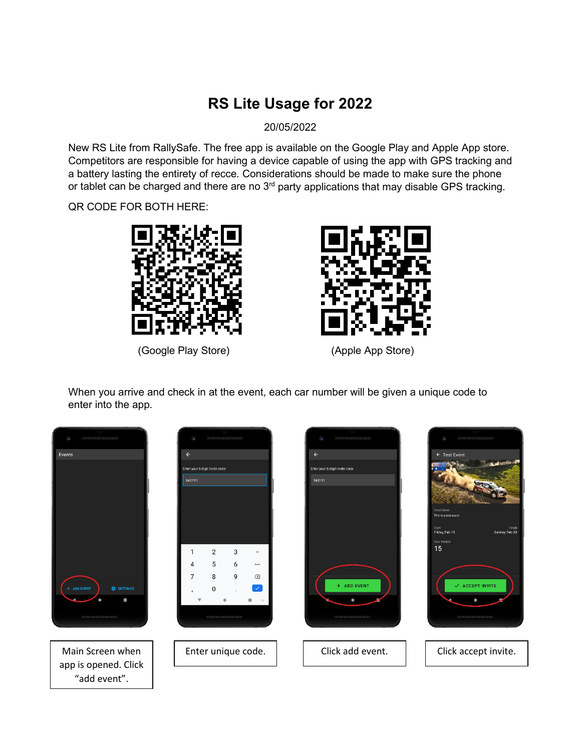## **RS Lite Usage for 2022**

20/05/2022

New RS Lite from RallySafe. The free app is available on the Google Play and Apple App store. Competitors are responsible for having a device capable of using the app with GPS tracking and a battery lasting the entirety of recce. Considerations should be made to make sure the phone or tablet can be charged and there are no 3<sup>rd</sup> party applications that may disable GPS tracking.

QR CODE FOR BOTH HERE:



(Google Play Store) (Apple App Store)



When you arrive and check in at the event, each car number will be given a unique code to enter into the app.